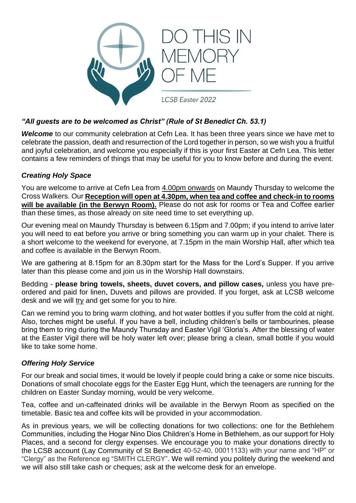

## *"All guests are to be welcomed as Christ" (Rule of St Benedict Ch. 53.1)*

*Welcome* to our community celebration at Cefn Lea. It has been three years since we have met to celebrate the passion, death and resurrection of the Lord together in person, so we wish you a fruitful and joyful celebration, and welcome you especially if this is your first Easter at Cefn Lea. This letter contains a few reminders of things that may be useful for you to know before and during the event.

## *Creating Holy Space*

You are welcome to arrive at Cefn Lea from 4.00pm onwards on Maundy Thursday to welcome the Cross Walkers. Our **Reception will open at 4.30pm, when tea and coffee and check-in to rooms**  will be available (in the Berwyn Room). Please do not ask for rooms or Tea and Coffee earlier than these times, as those already on site need time to set everything up.

Our evening meal on Maundy Thursday is between 6.15pm and 7.00pm; if you intend to arrive later you will need to eat before you arrive or bring something you can warm up in your chalet. There is a short welcome to the weekend for everyone, at 7.15pm in the main Worship Hall, after which tea and coffee is available in the Berwyn Room.

We are gathering at 8.15pm for an 8.30pm start for the Mass for the Lord's Supper. If you arrive later than this please come and join us in the Worship Hall downstairs.

Bedding - **please bring towels, sheets, duvet covers, and pillow cases,** unless you have preordered and paid for linen**.** Duvets and pillows are provided. If you forget, ask at LCSB welcome desk and we will try and get some for you to hire.

Can we remind you to bring warm clothing, and hot water bottles if you suffer from the cold at night. Also, torches might be useful. If you have a bell, including children's bells or tambourines, please bring them to ring during the Maundy Thursday and Easter Vigil 'Gloria's. After the blessing of water at the Easter Vigil there will be holy water left over; please bring a clean, small bottle if you would like to take some home.

### *Offering Holy Service*

For our break and social times, it would be lovely if people could bring a cake or some nice biscuits. Donations of small chocolate eggs for the Easter Egg Hunt, which the teenagers are running for the children on Easter Sunday morning, would be very welcome.

Tea, coffee and un-caffeinated drinks will be available in the Berwyn Room as specified on the timetable. Basic tea and coffee kits will be provided in your accommodation.

As in previous years, we will be collecting donations for two collections: one for the Bethlehem Communities, including the Hogar Nino Dios Children's Home in Bethlehem, as our support for Holy Places, and a second for clergy expenses. We encourage you to make your donations directly to the LCSB account (Lay Community of St Benedict 40-52-40, 00011133) with your name and "HP" or "Clergy" as the Reference eg "SMITH CLERGY". We will remind you politely during the weekend and we will also still take cash or cheques; ask at the welcome desk for an envelope.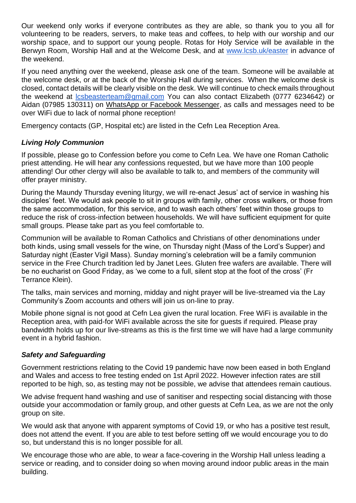Our weekend only works if everyone contributes as they are able, so thank you to you all for volunteering to be readers, servers, to make teas and coffees, to help with our worship and our worship space, and to support our young people. Rotas for Holy Service will be available in the Berwyn Room, Worship Hall and at the Welcome Desk, and at [www.lcsb.uk/easter](http://www.lcsb.uk/easter) in advance of the weekend.

If you need anything over the weekend, please ask one of the team. Someone will be available at the welcome desk, or at the back of the Worship Hall during services. When the welcome desk is closed, contact details will be clearly visible on the desk. We will continue to check emails throughout the weekend at [lcsbeasterteam@gmail.com](mailto:lcsbeasterteam@gmail.com) You can also contact Elizabeth (0777 6234642) or Aidan (07985 130311) on WhatsApp or Facebook Messenger, as calls and messages need to be over WiFi due to lack of normal phone reception!

Emergency contacts (GP, Hospital etc) are listed in the Cefn Lea Reception Area.

# *Living Holy Communion*

If possible, please go to Confession before you come to Cefn Lea. We have one Roman Catholic priest attending. He will hear any confessions requested, but we have more than 100 people attending! Our other clergy will also be available to talk to, and members of the community will offer prayer ministry.

During the Maundy Thursday evening liturgy, we will re-enact Jesus' act of service in washing his disciples' feet. We would ask people to sit in groups with family, other cross walkers, or those from the same accommodation, for this service, and to wash each others' feet within those groups to reduce the risk of cross-infection between households. We will have sufficient equipment for quite small groups. Please take part as you feel comfortable to.

Communion will be available to Roman Catholics and Christians of other denominations under both kinds, using small vessels for the wine, on Thursday night (Mass of the Lord's Supper) and Saturday night (Easter Vigil Mass). Sunday morning's celebration will be a family communion service in the Free Church tradition led by Janet Lees. Gluten free wafers are available. There will be no eucharist on Good Friday, as 'we come to a full, silent stop at the foot of the cross' (Fr Terrance Klein).

The talks, main services and morning, midday and night prayer will be live-streamed via the Lay Community's Zoom accounts and others will join us on-line to pray.

Mobile phone signal is not good at Cefn Lea given the rural location. Free WiFi is available in the Reception area, with paid-for WiFi available across the site for guests if required. Please pray bandwidth holds up for our live-streams as this is the first time we will have had a large community event in a hybrid fashion.

### *Safety and Safeguarding*

Government restrictions relating to the Covid 19 pandemic have now been eased in both England and Wales and access to free testing ended on 1st April 2022. However infection rates are still reported to be high, so, as testing may not be possible, we advise that attendees remain cautious.

We advise frequent hand washing and use of sanitiser and respecting social distancing with those outside your accommodation or family group, and other guests at Cefn Lea, as we are not the only group on site.

We would ask that anyone with apparent symptoms of Covid 19, or who has a positive test result. does not attend the event. If you are able to test before setting off we would encourage you to do so, but understand this is no longer possible for all.

We encourage those who are able, to wear a face-covering in the Worship Hall unless leading a service or reading, and to consider doing so when moving around indoor public areas in the main building.